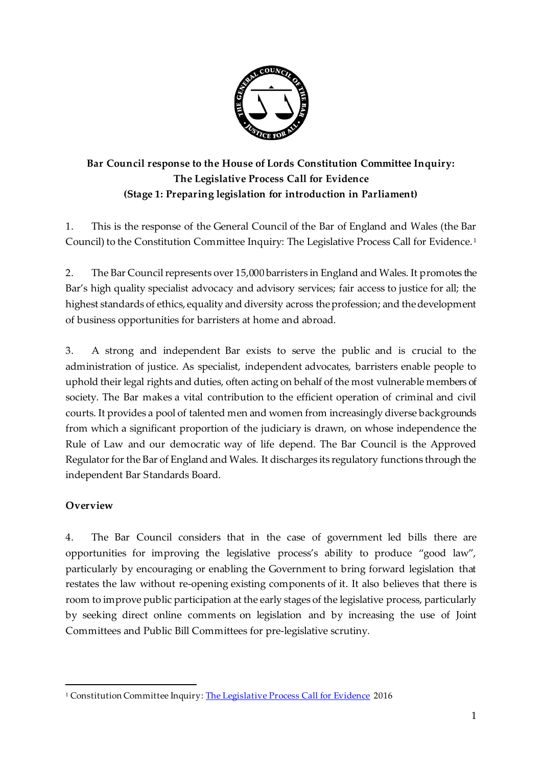

# **Bar Council response to the House of Lords Constitution Committee Inquiry: The Legislative Process Call for Evidence (Stage 1: Preparing legislation for introduction in Parliament)**

1. This is the response of the General Council of the Bar of England and Wales (the Bar Council) to the Constitution Committee Inquiry: The Legislative Process Call for Evidence. <sup>1</sup>

2. The Bar Council represents over 15,000 barristers in England and Wales. It promotes the Bar's high quality specialist advocacy and advisory services; fair access to justice for all; the highest standards of ethics, equality and diversity across the profession; and the development of business opportunities for barristers at home and abroad.

3. A strong and independent Bar exists to serve the public and is crucial to the administration of justice. As specialist, independent advocates, barristers enable people to uphold their legal rights and duties, often acting on behalf of the most vulnerable members of society. The Bar makes a vital contribution to the efficient operation of criminal and civil courts. It provides a pool of talented men and women from increasingly diverse backgrounds from which a significant proportion of the judiciary is drawn, on whose independence the Rule of Law and our democratic way of life depend. The Bar Council is the Approved Regulator for the Bar of England and Wales. It discharges its regulatory functions through the independent Bar Standards Board.

### **Overview**

 $\overline{a}$ 

4. The Bar Council considers that in the case of government led bills there are opportunities for improving the legislative process's ability to produce "good law", particularly by encouraging or enabling the Government to bring forward legislation that restates the law without re-opening existing components of it. It also believes that there is room to improve public participation at the early stages of the legislative process, particularly by seeking direct online comments on legislation and by increasing the use of Joint Committees and Public Bill Committees for pre-legislative scrutiny.

<sup>&</sup>lt;sup>1</sup> Constitution Committee Inquiry[: The Legislative Process Call for Evidence](https://www.parliament.uk/business/committees/committees-a-z/lords-select/constitution-committee/news-parliament-2015/legislative-process-launch/) 2016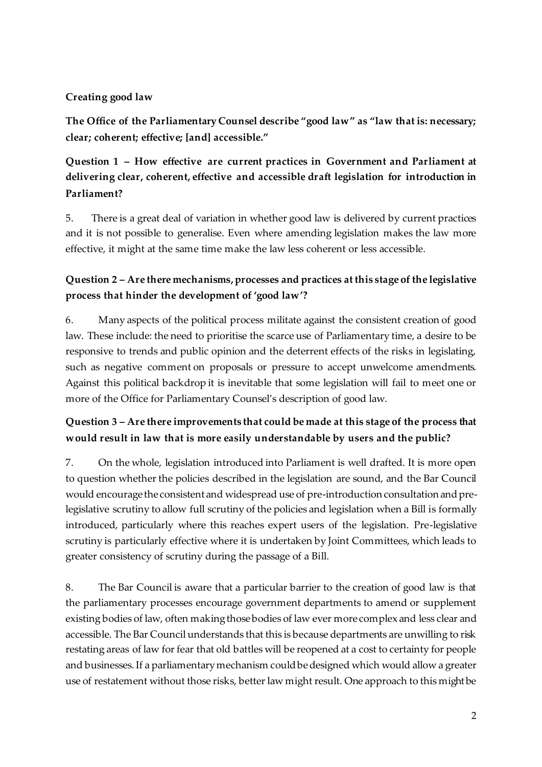#### **Creating good law**

**The Office of the Parliamentary Counsel describe "good law" as "law that is: necessary; clear; coherent; effective; [and] accessible."**

**Question 1 – How effective are current practices in Government and Parliament at delivering clear, coherent, effective and accessible draft legislation for introduction in Parliament?**

5. There is a great deal of variation in whether good law is delivered by current practices and it is not possible to generalise. Even where amending legislation makes the law more effective, it might at the same time make the law less coherent or less accessible.

## **Question 2 – Are there mechanisms, processes and practices at this stage of the legislative process that hinder the development of 'good law'?**

6. Many aspects of the political process militate against the consistent creation of good law. These include: the need to prioritise the scarce use of Parliamentary time, a desire to be responsive to trends and public opinion and the deterrent effects of the risks in legislating, such as negative comment on proposals or pressure to accept unwelcome amendments. Against this political backdrop it is inevitable that some legislation will fail to meet one or more of the Office for Parliamentary Counsel's description of good law.

## **Question 3 – Are there improvements that could be made at this stage of the process that would result in law that is more easily understandable by users and the public?**

7. On the whole, legislation introduced into Parliament is well drafted. It is more open to question whether the policies described in the legislation are sound, and the Bar Council would encourage the consistent and widespread use of pre-introduction consultation and prelegislative scrutiny to allow full scrutiny of the policies and legislation when a Bill is formally introduced, particularly where this reaches expert users of the legislation. Pre-legislative scrutiny is particularly effective where it is undertaken by Joint Committees, which leads to greater consistency of scrutiny during the passage of a Bill.

8. The Bar Council is aware that a particular barrier to the creation of good law is that the parliamentary processes encourage government departments to amend or supplement existing bodies of law, often making those bodies of law ever more complex and less clear and accessible. The Bar Council understands that this is because departments are unwilling to risk restating areas of law for fear that old battles will be reopened at a cost to certainty for people and businesses. If a parliamentary mechanism could be designed which would allow a greater use of restatement without those risks, better law might result. One approach to this might be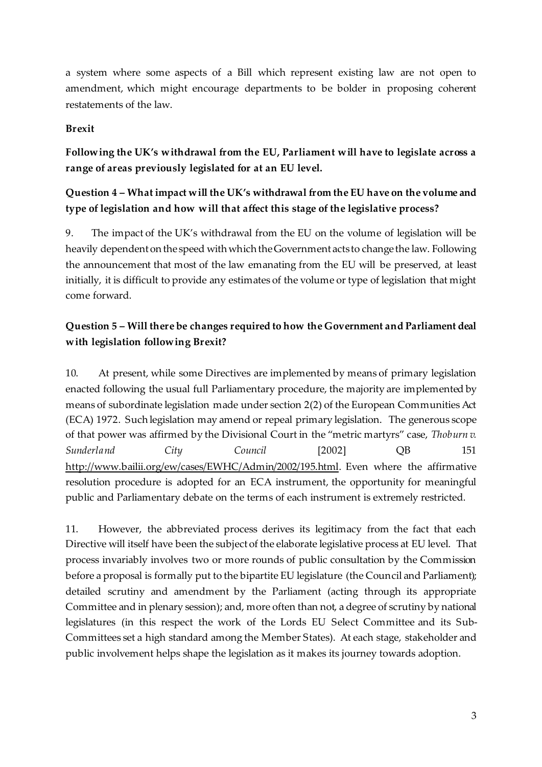a system where some aspects of a Bill which represent existing law are not open to amendment, which might encourage departments to be bolder in proposing coherent restatements of the law.

#### **Brexit**

**Following the UK's withdrawal from the EU, Parliament will have to legislate across a range of areas previously legislated for at an EU level.**

## **Question 4 – What impact will the UK's withdrawal from the EU have on the volume and type of legislation and how will that affect this stage of the legislative process?**

9. The impact of the UK's withdrawal from the EU on the volume of legislation will be heavily dependent on the speed with which the Government acts to change the law. Following the announcement that most of the law emanating from the EU will be preserved, at least initially, it is difficult to provide any estimates of the volume or type of legislation that might come forward.

### **Question 5 – Will there be changes required to how the Government and Parliament deal with legislation following Brexit?**

10. At present, while some Directives are implemented by means of primary legislation enacted following the usual full Parliamentary procedure, the majority are implemented by means of subordinate legislation made under section 2(2) of the European Communities Act (ECA) 1972. Such legislation may amend or repeal primary legislation. The generous scope of that power was affirmed by the Divisional Court in the "metric martyrs" case, *Thoburn v. Sunderland City Council* [2002] QB 151 <http://www.bailii.org/ew/cases/EWHC/Admin/2002/195.html>. Even where the affirmative resolution procedure is adopted for an ECA instrument, the opportunity for meaningful public and Parliamentary debate on the terms of each instrument is extremely restricted.

11. However, the abbreviated process derives its legitimacy from the fact that each Directive will itself have been the subject of the elaborate legislative process at EU level. That process invariably involves two or more rounds of public consultation by the Commission before a proposal is formally put to the bipartite EU legislature (the Council and Parliament); detailed scrutiny and amendment by the Parliament (acting through its appropriate Committee and in plenary session); and, more often than not, a degree of scrutiny by national legislatures (in this respect the work of the Lords EU Select Committee and its Sub-Committees set a high standard among the Member States). At each stage, stakeholder and public involvement helps shape the legislation as it makes its journey towards adoption.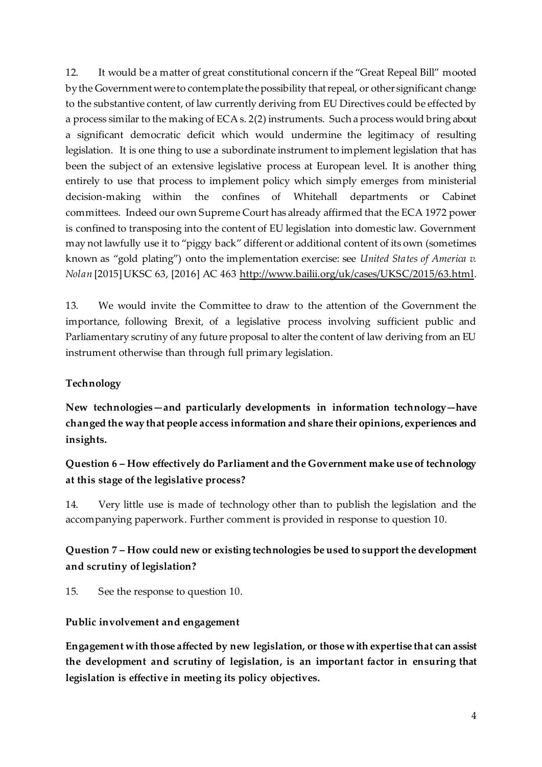12. It would be a matter of great constitutional concern if the "Great Repeal Bill" mooted by the Government were to contemplate the possibility that repeal, or other significant change to the substantive content, of law currently deriving from EU Directives could be effected by a process similar to the making of ECA s. 2(2) instruments. Such a process would bring about a significant democratic deficit which would undermine the legitimacy of resulting legislation. It is one thing to use a subordinate instrument to implement legislation that has been the subject of an extensive legislative process at European level. It is another thing entirely to use that process to implement policy which simply emerges from ministerial decision-making within the confines of Whitehall departments or Cabinet committees. Indeed our own Supreme Court has already affirmed that the ECA 1972 power is confined to transposing into the content of EU legislation into domestic law. Government may not lawfully use it to "piggy back" different or additional content of its own (sometimes known as "gold plating") onto the implementation exercise: see *United States of America v. Nolan* [2015] UKSC 63, [2016] AC 4[63 http://www.bailii.org/uk/cases/UKSC/2015/63.ht](http://www.bailii.org/uk/cases/UKSC/2015/63.html)ml.

13. We would invite the Committee to draw to the attention of the Government the importance, following Brexit, of a legislative process involving sufficient public and Parliamentary scrutiny of any future proposal to alter the content of law deriving from an EU instrument otherwise than through full primary legislation.

#### **Technology**

**New technologies—and particularly developments in information technology—have changed the way that people access information and share their opinions, experiences and insights.**

## **Question 6 – How effectively do Parliament and the Government make use of technology at this stage of the legislative process?**

14. Very little use is made of technology other than to publish the legislation and the accompanying paperwork. Further comment is provided in response to question 10.

## **Question 7 – How could new or existing technologies be used to support the development and scrutiny of legislation?**

15. See the response to question 10.

#### **Public involvement and engagement**

**Engagement with those affected by new legislation, or those with expertise that can assist the development and scrutiny of legislation, is an important factor in ensuring that legislation is effective in meeting its policy objectives.**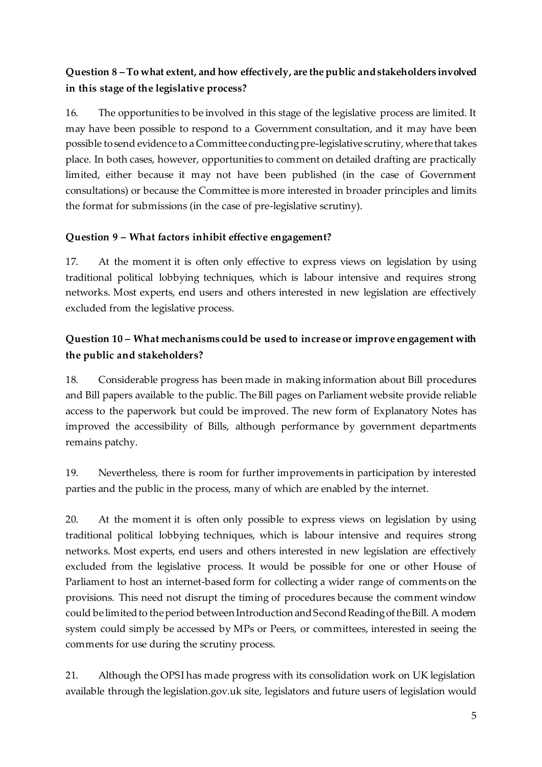## **Question 8 –To what extent, and how effectively, are the public and stakeholders involved in this stage of the legislative process?**

16. The opportunities to be involved in this stage of the legislative process are limited. It may have been possible to respond to a Government consultation, and it may have been possible to send evidence to a Committee conducting pre-legislative scrutiny, where that takes place. In both cases, however, opportunities to comment on detailed drafting are practically limited, either because it may not have been published (in the case of Government consultations) or because the Committee is more interested in broader principles and limits the format for submissions (in the case of pre-legislative scrutiny).

#### **Question 9 – What factors inhibit effective engagement?**

17. At the moment it is often only effective to express views on legislation by using traditional political lobbying techniques, which is labour intensive and requires strong networks. Most experts, end users and others interested in new legislation are effectively excluded from the legislative process.

### **Question 10 – What mechanisms could be used to increase or improve engagement with the public and stakeholders?**

18. Considerable progress has been made in making information about Bill procedures and Bill papers available to the public. The Bill pages on Parliament website provide reliable access to the paperwork but could be improved. The new form of Explanatory Notes has improved the accessibility of Bills, although performance by government departments remains patchy.

19. Nevertheless, there is room for further improvements in participation by interested parties and the public in the process, many of which are enabled by the internet.

20. At the moment it is often only possible to express views on legislation by using traditional political lobbying techniques, which is labour intensive and requires strong networks. Most experts, end users and others interested in new legislation are effectively excluded from the legislative process. It would be possible for one or other House of Parliament to host an internet-based form for collecting a wider range of comments on the provisions. This need not disrupt the timing of procedures because the comment window could be limited to the period between Introduction and Second Reading of the Bill. A modern system could simply be accessed by MPs or Peers, or committees, interested in seeing the comments for use during the scrutiny process.

21. Although the OPSI has made progress with its consolidation work on UK legislation available through the legislation.gov.uk site, legislators and future users of legislation would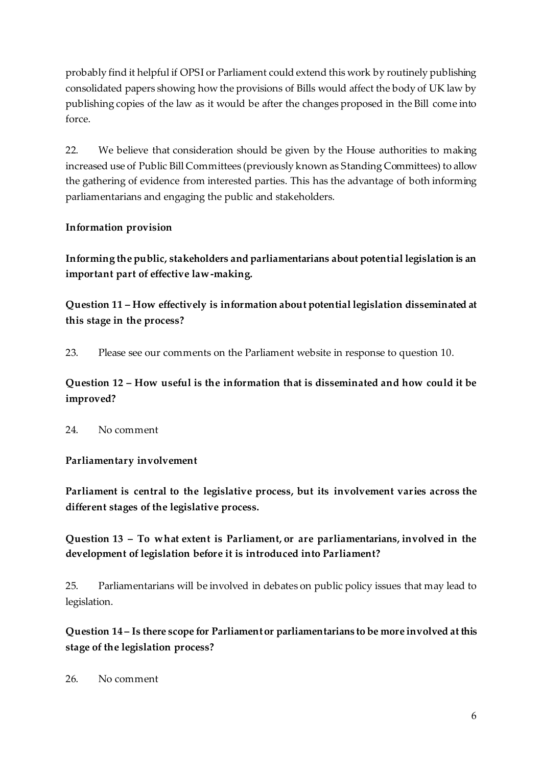probably find it helpful if OPSI or Parliament could extend this work by routinely publishing consolidated papers showing how the provisions of Bills would affect the body of UK law by publishing copies of the law as it would be after the changes proposed in the Bill come into force.

22. We believe that consideration should be given by the House authorities to making increased use of Public Bill Committees (previously known as Standing Committees) to allow the gathering of evidence from interested parties. This has the advantage of both informing parliamentarians and engaging the public and stakeholders.

#### **Information provision**

**Informing the public, stakeholders and parliamentarians about potential legislation is an important part of effective law-making.**

**Question 11 – How effectively is information about potential legislation disseminated at this stage in the process?**

23. Please see our comments on the Parliament website in response to question 10.

## **Question 12 – How useful is the information that is disseminated and how could it be improved?**

#### 24. No comment

### **Parliamentary involvement**

**Parliament is central to the legislative process, but its involvement varies across the different stages of the legislative process.**

### **Question 13 – To what extent is Parliament, or are parliamentarians, involved in the development of legislation before it is introduced into Parliament?**

25. Parliamentarians will be involved in debates on public policy issues that may lead to legislation.

## **Question 14 – Is there scope for Parliament or parliamentarians to be more involved at this stage of the legislation process?**

26. No comment